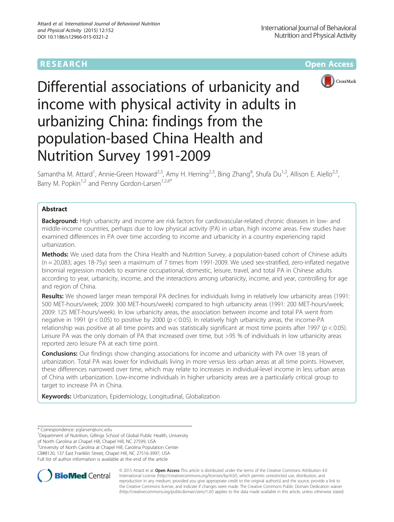# **RESEARCH CHE Open Access**



# Differential associations of urbanicity and income with physical activity in adults in urbanizing China: findings from the population-based China Health and Nutrition Survey 1991-2009

Samantha M. Attard<sup>1</sup>, Annie-Green Howard<sup>2,3</sup>, Amy H. Herring<sup>2,3</sup>, Bing Zhang<sup>4</sup>, Shufa Du<sup>1,2</sup>, Allison E. Aiello<sup>2,5</sup>, Barry M. Popkin<sup>1,2</sup> and Penny Gordon-Larsen<sup>1,2,6\*</sup>

# Abstract

**Background:** High urbanicity and income are risk factors for cardiovascular-related chronic diseases in low- and middle-income countries, perhaps due to low physical activity (PA) in urban, high income areas. Few studies have examined differences in PA over time according to income and urbanicity in a country experiencing rapid urbanization.

Methods: We used data from the China Health and Nutrition Survey, a population-based cohort of Chinese adults (n = 20,083; ages 18-75y) seen a maximum of 7 times from 1991-2009. We used sex-stratified, zero-inflated negative binomial regression models to examine occupational, domestic, leisure, travel, and total PA in Chinese adults according to year, urbanicity, income, and the interactions among urbanicity, income, and year, controlling for age and region of China.

Results: We showed larger mean temporal PA declines for individuals living in relatively low urbanicity areas (1991: 500 MET-hours/week; 2009: 300 MET-hours/week) compared to high urbanicity areas (1991: 200 MET-hours/week; 2009: 125 MET-hours/week). In low urbanicity areas, the association between income and total PA went from negative in 1991 ( $p < 0.05$ ) to positive by 2000 ( $p < 0.05$ ). In relatively high urbanicity areas, the income-PA relationship was positive at all time points and was statistically significant at most time points after 1997 ( $p < 0.05$ ). Leisure PA was the only domain of PA that increased over time, but >95 % of individuals in low urbanicity areas reported zero leisure PA at each time point.

**Conclusions:** Our findings show changing associations for income and urbanicity with PA over 18 years of urbanization. Total PA was lower for individuals living in more versus less urban areas at all time points. However, these differences narrowed over time, which may relate to increases in individual-level income in less urban areas of China with urbanization. Low-income individuals in higher urbanicity areas are a particularly critical group to target to increase PA in China.

Keywords: Urbanization, Epidemiology, Longitudinal, Globalization

<sup>1</sup>Department of Nutrition, Gillings School of Global Public Health, University

of North Carolina at Chapel Hill, Chapel Hill, NC 27599, USA

<sup>2</sup> University of North Carolina at Chapel Hill, Carolina Population Center

CB#8120, 137 East Franklin Street, Chapel Hill, NC 27516-3997, USA

Full list of author information is available at the end of the article



© 2015 Attard et al. Open Access This article is distributed under the terms of the Creative Commons Attribution 4.0 International License [\(http://creativecommons.org/licenses/by/4.0/](http://creativecommons.org/licenses/by/4.0/)), which permits unrestricted use, distribution, and reproduction in any medium, provided you give appropriate credit to the original author(s) and the source, provide a link to the Creative Commons license, and indicate if changes were made. The Creative Commons Public Domain Dedication waiver [\(http://creativecommons.org/publicdomain/zero/1.0/](http://creativecommons.org/publicdomain/zero/1.0/)) applies to the data made available in this article, unless otherwise stated.

<sup>\*</sup> Correspondence: [pglarsen@unc.edu](mailto:pglarsen@unc.edu) <sup>1</sup>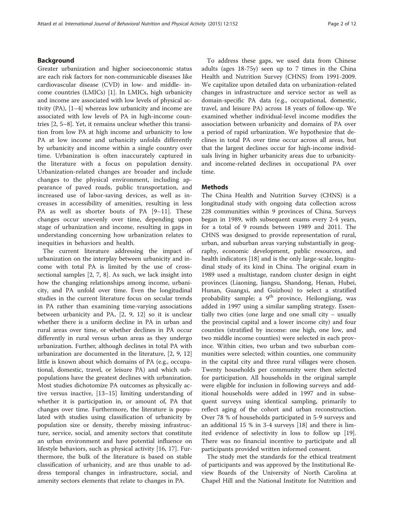# Background

Greater urbanization and higher socioeconomic status are each risk factors for non-communicable diseases like cardiovascular disease (CVD) in low- and middle- income countries (LMICs) [\[1](#page-10-0)]. In LMICs, high urbanicity and income are associated with low levels of physical activity (PA), [[1](#page-10-0)–[4\]](#page-10-0) whereas low urbanicity and income are associated with low levels of PA in high-income countries [\[2](#page-10-0), [5](#page-10-0)–[8](#page-10-0)]. Yet, it remains unclear whether this transition from low PA at high income and urbanicity to low PA at low income and urbanicity unfolds differently by urbanicity and income within a single country over time. Urbanization is often inaccurately captured in the literature with a focus on population density. Urbanization-related changes are broader and include changes to the physical environment, including appearance of paved roads, public transportation, and increased use of labor-saving devices, as well as increases in accessibility of amenities, resulting in less PA as well as shorter bouts of PA [[9](#page-10-0)–[11\]](#page-10-0). These changes occur unevenly over time, depending upon stage of urbanization and income, resulting in gaps in understanding concerning how urbanization relates to inequities in behaviors and health.

The current literature addressing the impact of urbanization on the interplay between urbanicity and income with total PA is limited by the use of crosssectional samples [\[2, 7, 8](#page-10-0)]. As such, we lack insight into how the changing relationships among income, urbanicity, and PA unfold over time. Even the longitudinal studies in the current literature focus on secular trends in PA rather than examining time-varying associations between urbanicity and PA, [\[2](#page-10-0), [9](#page-10-0), [12\]](#page-10-0) so it is unclear whether there is a uniform decline in PA in urban and rural areas over time, or whether declines in PA occur differently in rural versus urban areas as they undergo urbanization. Further, although declines in total PA with urbanization are documented in the literature, [\[2](#page-10-0), [9, 12](#page-10-0)] little is known about which domains of PA (e.g., occupational, domestic, travel, or leisure PA) and which subpopulations have the greatest declines with urbanization. Most studies dichotomize PA outcomes as physically active versus inactive, [[13](#page-10-0)–[15](#page-10-0)] limiting understanding of whether it is participation in, or amount of, PA that changes over time. Furthermore, the literature is populated with studies using classification of urbanicity by population size or density, thereby missing infrastructure, service, social, and amenity sectors that constitute an urban environment and have potential influence on lifestyle behaviors, such as physical activity [[16](#page-10-0), [17\]](#page-10-0). Furthermore, the bulk of the literature is based on stable classification of urbanicity, and are thus unable to address temporal changes in infrastructure, social, and amenity sectors elements that relate to changes in PA.

To address these gaps, we used data from Chinese adults (ages 18-75y) seen up to 7 times in the China Health and Nutrition Survey (CHNS) from 1991-2009. We capitalize upon detailed data on urbanization-related changes in infrastructure and service sector as well as domain-specific PA data (e.g., occupational, domestic, travel, and leisure PA) across 18 years of follow-up. We examined whether individual-level income modifies the association between urbanicity and domains of PA over a period of rapid urbanization. We hypothesize that declines in total PA over time occur across all areas, but that the largest declines occur for high-income individuals living in higher urbanicity areas due to urbanicityand income-related declines in occupational PA over time.

# **Methods**

The China Health and Nutrition Survey (CHNS) is a longitudinal study with ongoing data collection across 228 communities within 9 provinces of China. Surveys began in 1989, with subsequent exams every 2-4 years, for a total of 9 rounds between 1989 and 2011. The CHNS was designed to provide representation of rural, urban, and suburban areas varying substantially in geography, economic development, public resources, and health indicators [\[18\]](#page-10-0) and is the only large-scale, longitudinal study of its kind in China. The original exam in 1989 used a multistage, random cluster design in eight provinces (Liaoning, Jiangsu, Shandong, Henan, Hubei, Hunan, Guangxi, and Guizhou) to select a stratified probability sample; a 9<sup>th</sup> province, Heilongjiang, was added in 1997 using a similar sampling strategy. Essentially two cities (one large and one small city – usually the provincial capital and a lower income city) and four counties (stratified by income: one high, one low, and two middle income counties) were selected in each province. Within cities, two urban and two suburban communities were selected; within counties, one community in the capital city and three rural villages were chosen. Twenty households per community were then selected for participation. All households in the original sample were eligible for inclusion in following surveys and additional households were added in 1997 and in subsequent surveys using identical sampling, primarily to reflect aging of the cohort and urban reconstruction. Over 78 % of households participated in 5-9 surveys and an additional 15 % in 3-4 surveys [[18\]](#page-10-0) and there is limited evidence of selectivity in loss to follow up [\[19](#page-10-0)]. There was no financial incentive to participate and all participants provided written informed consent.

The study met the standards for the ethical treatment of participants and was approved by the Institutional Review Boards of the University of North Carolina at Chapel Hill and the National Institute for Nutrition and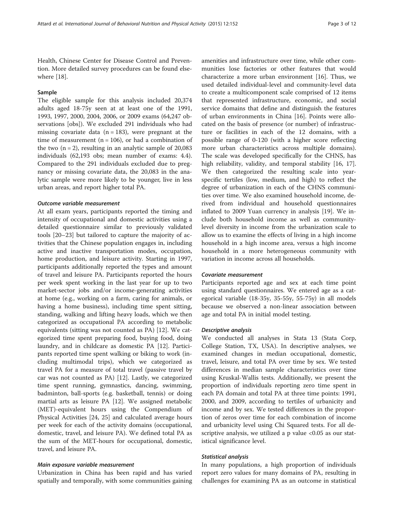Health, Chinese Center for Disease Control and Prevention. More detailed survey procedures can be found elsewhere [\[18](#page-10-0)].

# Sample

The eligible sample for this analysis included 20,374 adults aged 18-75y seen at at least one of the 1991, 1993, 1997, 2000, 2004, 2006, or 2009 exams (64,247 observations [obs]). We excluded 291 individuals who had missing covariate data  $(n = 183)$ , were pregnant at the time of measurement ( $n = 106$ ), or had a combination of the two  $(n = 2)$ , resulting in an analytic sample of 20,083 individuals (62,193 obs; mean number of exams: 4.4). Compared to the 291 individuals excluded due to pregnancy or missing covariate data, the 20,083 in the analytic sample were more likely to be younger, live in less urban areas, and report higher total PA.

### Outcome variable measurement

At all exam years, participants reported the timing and intensity of occupational and domestic activities using a detailed questionnaire similar to previously validated tools [\[20](#page-10-0)–[23\]](#page-10-0) but tailored to capture the majority of activities that the Chinese population engages in, including active and inactive transportation modes, occupation, home production, and leisure activity. Starting in 1997, participants additionally reported the types and amount of travel and leisure PA. Participants reported the hours per week spent working in the last year for up to two market-sector jobs and/or income-generating activities at home (e.g., working on a farm, caring for animals, or having a home business), including time spent sitting, standing, walking and lifting heavy loads, which we then categorized as occupational PA according to metabolic equivalents (sitting was not counted as PA) [[12\]](#page-10-0). We categorized time spent preparing food, buying food, doing laundry, and in childcare as domestic PA [\[12\]](#page-10-0). Participants reported time spent walking or biking to work (including multimodal trips), which we categorized as travel PA for a measure of total travel (passive travel by car was not counted as PA) [\[12\]](#page-10-0). Lastly, we categorized time spent running, gymnastics, dancing, swimming, badminton, ball-sports (e.g. basketball, tennis) or doing martial arts as leisure PA [\[12](#page-10-0)]. We assigned metabolic (MET)-equivalent hours using the Compendium of Physical Activities [[24, 25](#page-10-0)] and calculated average hours per week for each of the activity domains (occupational, domestic, travel, and leisure PA). We defined total PA as the sum of the MET-hours for occupational, domestic, travel, and leisure PA.

#### Main exposure variable measurement

Urbanization in China has been rapid and has varied spatially and temporally, with some communities gaining

amenities and infrastructure over time, while other communities lose factories or other features that would characterize a more urban environment [\[16](#page-10-0)]. Thus, we used detailed individual-level and community-level data to create a multicomponent scale comprised of 12 items that represented infrastructure, economic, and social service domains that define and distinguish the features of urban environments in China [\[16](#page-10-0)]. Points were allocated on the basis of presence (or number) of infrastructure or facilities in each of the 12 domains, with a possible range of 0-120 (with a higher score reflecting more urban characteristics across multiple domains). The scale was developed specifically for the CHNS, has high reliability, validity, and temporal stability [\[16, 17](#page-10-0)]. We then categorized the resulting scale into yearspecific tertiles (low, medium, and high) to reflect the degree of urbanization in each of the CHNS communities over time. We also examined household income, derived from individual and household questionnaires inflated to 2009 Yuan currency in analysis [[19\]](#page-10-0). We include both household income as well as communitylevel diversity in income from the urbanization scale to allow us to examine the effects of living in a high income household in a high income area, versus a high income household in a more heterogeneous community with variation in income across all households.

#### Covariate measurement

Participants reported age and sex at each time point using standard questionnaires. We entered age as a categorical variable (18-35y, 35-55y, 55-75y) in all models because we observed a non-linear association between age and total PA in initial model testing.

#### Descriptive analysis

We conducted all analyses in Stata 13 (Stata Corp, College Station, TX, USA). In descriptive analyses, we examined changes in median occupational, domestic, travel, leisure, and total PA over time by sex. We tested differences in median sample characteristics over time using Kruskal-Wallis tests. Additionally, we present the proportion of individuals reporting zero time spent in each PA domain and total PA at three time points: 1991, 2000, and 2009, according to tertiles of urbanicity and income and by sex. We tested differences in the proportion of zeros over time for each combination of income and urbanicity level using Chi Squared tests. For all descriptive analysis, we utilized a p value <0.05 as our statistical significance level.

### Statistical analysis

In many populations, a high proportion of individuals report zero values for many domains of PA, resulting in challenges for examining PA as an outcome in statistical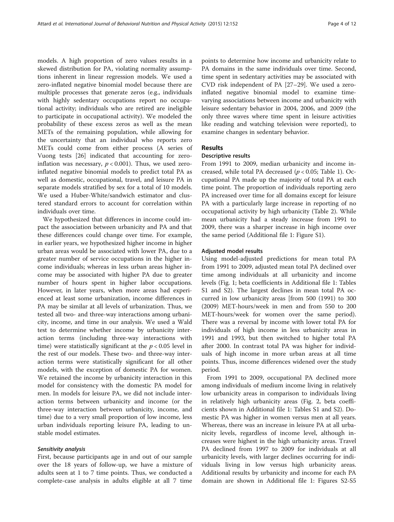models. A high proportion of zero values results in a skewed distribution for PA, violating normality assumptions inherent in linear regression models. We used a zero-inflated negative binomial model because there are multiple processes that generate zeros (e.g., individuals with highly sedentary occupations report no occupational activity; individuals who are retired are ineligible to participate in occupational activity). We modeled the probability of these excess zeros as well as the mean METs of the remaining population, while allowing for the uncertainty that an individual who reports zero METs could come from either process (A series of Vuong tests [\[26](#page-10-0)] indicated that accounting for zeroinflation was necessary,  $p < 0.001$ ). Thus, we used zeroinflated negative binomial models to predict total PA as well as domestic, occupational, travel, and leisure PA in separate models stratified by sex for a total of 10 models. We used a Huber-White/sandwich estimator and clustered standard errors to account for correlation within individuals over time.

We hypothesized that differences in income could impact the association between urbanicity and PA and that these differences could change over time. For example, in earlier years, we hypothesized higher income in higher urban areas would be associated with lower PA, due to a greater number of service occupations in the higher income individuals; whereas in less urban areas higher income may be associated with higher PA due to greater number of hours spent in higher labor occupations. However, in later years, when more areas had experienced at least some urbanization, income differences in PA may be similar at all levels of urbanization. Thus, we tested all two- and three-way interactions among urbanicity, income, and time in our analysis. We used a Wald test to determine whether income by urbanicity interaction terms (including three-way interactions with time) were statistically significant at the  $p < 0.05$  level in the rest of our models. These two- and three-way interaction terms were statistically significant for all other models, with the exception of domestic PA for women. We retained the income by urbanicity interaction in this model for consistency with the domestic PA model for men. In models for leisure PA, we did not include interaction terms between urbanicity and income (or the three-way interaction between urbanicity, income, and time) due to a very small proportion of low income, less urban individuals reporting leisure PA, leading to unstable model estimates.

# Sensitivity analysis

First, because participants age in and out of our sample over the 18 years of follow-up, we have a mixture of adults seen at 1 to 7 time points. Thus, we conducted a complete-case analysis in adults eligible at all 7 time

points to determine how income and urbanicity relate to PA domains in the same individuals over time. Second, time spent in sedentary activities may be associated with CVD risk independent of PA [[27](#page-10-0)–[29](#page-10-0)]. We used a zeroinflated negative binomial model to examine timevarying associations between income and urbanicity with leisure sedentary behavior in 2004, 2006, and 2009 (the only three waves where time spent in leisure activities like reading and watching television were reported), to examine changes in sedentary behavior.

# Results

# Descriptive results

From 1991 to 2009, median urbanicity and income increased, while total PA decreased ( $p < 0.05$ ; Table [1\)](#page-4-0). Occupational PA made up the majority of total PA at each time point. The proportion of individuals reporting zero PA increased over time for all domains except for leisure PA with a particularly large increase in reporting of no occupational activity by high urbanicity (Table [2](#page-5-0)). While mean urbanicity had a steady increase from 1991 to 2009, there was a sharper increase in high income over the same period (Additional file [1:](#page-9-0) Figure S1).

# Adjusted model results

Using model-adjusted predictions for mean total PA from 1991 to 2009, adjusted mean total PA declined over time among individuals at all urbanicity and income levels (Fig. [1;](#page-7-0) beta coefficients in Additional file [1:](#page-9-0) Tables S1 and S2). The largest declines in mean total PA occurred in low urbanicity areas [from 500 (1991) to 300 (2009) MET-hours/week in men and from 550 to 200 MET-hours/week for women over the same period). There was a reversal by income with lower total PA for individuals of high income in less urbanicity areas in 1991 and 1993, but then switched to higher total PA after 2000. In contrast total PA was higher for individuals of high income in more urban areas at all time points. Thus, income differences widened over the study period.

From 1991 to 2009, occupational PA declined more among individuals of medium income living in relatively low urbanicity areas in comparison to individuals living in relatively high urbanicity areas (Fig. [2](#page-8-0), beta coefficients shown in Additional file [1:](#page-9-0) Tables S1 and S2). Domestic PA was higher in women versus men at all years. Whereas, there was an increase in leisure PA at all urbanicity levels, regardless of income level, although increases were highest in the high urbanicity areas. Travel PA declined from 1997 to 2009 for individuals at all urbanicity levels, with larger declines occurring for individuals living in low versus high urbanicity areas. Additional results by urbanicity and income for each PA domain are shown in Additional file [1:](#page-9-0) Figures S2-S5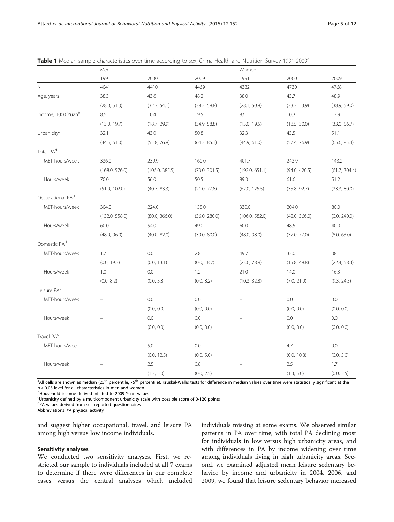|                              | Men            |                |               | Women          |               |               |  |
|------------------------------|----------------|----------------|---------------|----------------|---------------|---------------|--|
|                              | 1991           | 2000           | 2009          | 1991           | 2000          | 2009          |  |
| N                            | 4041           | 4410           | 4469          | 4382           | 4730          | 4768          |  |
| Age, years                   | 38.3           | 43.6           | 48.2          | 38.0           | 43.7          | 48.9          |  |
|                              | (28.0, 51.3)   | (32.3, 54.1)   | (38.2, 58.8)  | (28.1, 50.8)   | (33.3, 53.9)  | (38.9, 59.0)  |  |
| Income, 1000 Yuanb           | 8.6            | 10.4           | 19.5          | 8.6            | 10.3          | 17.9          |  |
|                              | (13.0, 19.7)   | (18.7, 29.9)   | (34.9, 58.8)  | (13.0, 19.5)   | (18.5, 30.0)  | (33.0, 56.7)  |  |
| Urbanicity <sup>c</sup>      | 32.1           | 43.0           | 50.8          | 32.3           | 43.5          | 51.1          |  |
|                              | (44.5, 61.0)   | (55.8, 76.8)   | (64.2, 85.1)  | (44.9, 61.0)   | (57.4, 76.9)  | (65.6, 85.4)  |  |
| Total PA <sup>d</sup>        |                |                |               |                |               |               |  |
| MET-hours/week               | 336.0          | 239.9          | 160.0         | 401.7          | 243.9         | 143.2         |  |
|                              | (168.0, 576.0) | (106.0, 385.5) | (73.0, 301.5) | (192.0, 651.1) | (94.0, 420.5) | (61.7, 304.4) |  |
| Hours/week                   | 70.0           | 56.0           | 50.5          | 89.3           | 61.6          | 51.2          |  |
|                              | (51.0, 102.0)  | (40.7, 83.3)   | (21.0, 77.8)  | (62.0, 125.5)  | (35.8, 92.7)  | (23.3, 80.0)  |  |
| Occupational PA <sup>d</sup> |                |                |               |                |               |               |  |
| MET-hours/week               | 304.0          | 224.0          | 138.0         | 330.0          | 204.0         | 80.0          |  |
|                              | (132.0, 558.0) | (80.0, 366.0)  | (36.0, 280.0) | (106.0, 582.0) | (42.0, 366.0) | (0.0, 240.0)  |  |
| Hours/week                   | 60.0           | 54.0           | 49.0          | 60.0           | 48.5          | 40.0          |  |
|                              | (48.0, 96.0)   | (40.0, 82.0)   | (39.0, 80.0)  | (48.0, 98.0)   | (37.0, 77.0)  | (8.0, 63.0)   |  |
| Domestic PA <sup>d</sup>     |                |                |               |                |               |               |  |
| MET-hours/week               | 1.7            | 0.0            | 2.8           | 49.7           | 32.0          | 38.1          |  |
|                              | (0.0, 19.3)    | (0.0, 13.1)    | (0.0, 18.7)   | (23.6, 78.9)   | (15.8, 48.8)  | (22.4, 58.3)  |  |
| Hours/week                   | 1.0            | 0.0            | 1.2           | 21.0           | 14.0          | 16.3          |  |
|                              | (0.0, 8.2)     | (0.0, 5.8)     | (0,0, 8.2)    | (10.3, 32.8)   | (7.0, 21.0)   | (9.3, 24.5)   |  |
| Leisure PA <sup>d</sup>      |                |                |               |                |               |               |  |
| MET-hours/week               |                | 0.0            | 0.0           |                | 0.0           | 0.0           |  |
|                              |                | (0.0, 0.0)     | (0.0, 0.0)    |                | (0.0, 0.0)    | (0.0, 0.0)    |  |
| Hours/week                   |                | 0.0            | 0.0           |                | 0.0           | 0.0           |  |
|                              |                | (0.0, 0.0)     | (0.0, 0.0)    |                | (0.0, 0.0)    | (0.0, 0.0)    |  |
| Travel PA <sup>d</sup>       |                |                |               |                |               |               |  |
| MET-hours/week               |                | 5.0            | 0.0           |                | 4.7           | 0.0           |  |
|                              |                | (0.0, 12.5)    | (0.0, 5.0)    |                | (0.0, 10.8)   | (0.0, 5.0)    |  |
| Hours/week                   |                | 2.5            | 0.8           |                | 2.5           | 1.7           |  |
|                              |                | (1.3, 5.0)     | (0.0, 2.5)    |                | (1.3, 5.0)    | (0.0, 2.5)    |  |

<span id="page-4-0"></span>

|  | Table 1 Median sample characteristics over time according to sex, China Health and Nutrition Survey 1991-2009 <sup>a</sup> |  |  |  |  |
|--|----------------------------------------------------------------------------------------------------------------------------|--|--|--|--|
|  |                                                                                                                            |  |  |  |  |

<sup>a</sup>All cells are shown as median (25<sup>th</sup> percentile, 75<sup>th</sup> percentile). Kruskal-Wallis tests for difference in median values over time were statistically significant at the p < 0.05 level for all characteristics in men and women

**bHousehold income derived inflated to 2009 Yuan values** 

Urbanicity defined by a multicomponent urbanicity scale with possible score of 0-120 points

dPA values derived from self-reported questionnaires

Abbreviations: PA physical activity

and suggest higher occupational, travel, and leisure PA among high versus low income individuals.

# Sensitivity analyses

We conducted two sensitivity analyses. First, we restricted our sample to individuals included at all 7 exams to determine if there were differences in our complete cases versus the central analyses which included individuals missing at some exams. We observed similar patterns in PA over time, with total PA declining most for individuals in low versus high urbanicity areas, and with differences in PA by income widening over time among individuals living in high urbanicity areas. Second, we examined adjusted mean leisure sedentary behavior by income and urbanicity in 2004, 2006, and 2009, we found that leisure sedentary behavior increased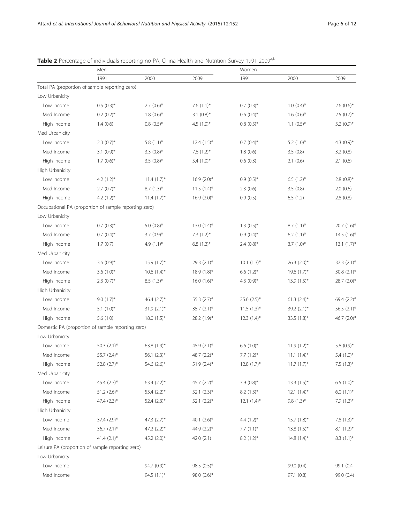|                 | Men                                                   |                  |                           | Women            |                  |                          |  |
|-----------------|-------------------------------------------------------|------------------|---------------------------|------------------|------------------|--------------------------|--|
|                 | 1991                                                  | 2000             | 2009                      | 1991             | 2000             | 2009                     |  |
|                 | Total PA (proportion of sample reporting zero)        |                  |                           |                  |                  |                          |  |
| Low Urbanicity  |                                                       |                  |                           |                  |                  |                          |  |
| Low Income      | $0.5(0.3)$ *                                          | $2.7(0.6)$ *     | 7.6 $(1.1)$ *             | $0.7(0.3)$ *     | $1.0(0.4)$ *     | 2.6 $(0.6)$ <sup>*</sup> |  |
| Med Income      | $0.2(0.2)$ *                                          | $1.8(0.6)$ *     | $3.1 (0.8)$ *             | $0.6(0.4)$ *     | $1.6(0.6)$ *     | $2.5(0.7)$ *             |  |
| High Income     | 1.4(0.6)                                              | $0.8(0.5)$ *     | 4.5 $(1.0)^*$             | $0.8(0.5)$ *     | $1.1 (0.5)^*$    | 3.2 $(0.9)$ *            |  |
| Med Urbanicity  |                                                       |                  |                           |                  |                  |                          |  |
| Low Income      | $2.3 (0.7)$ *                                         | $5.8(1.1)$ *     | $12.4(1.5)$ *             | $0.7(0.4)$ *     | $5.2$ $(1.0)$ *  | 4.3 $(0.9)$ *            |  |
| Med Income      | $3.1 (0.9)$ *                                         | $3.3(0.8)$ *     | 7.6 $(1.2)$ *             | 1.8(0.6)         | 3.5(0.8)         | 3.2(0.8)                 |  |
| High Income     | $1.7(0.6)$ *                                          | $3.5(0.8)$ *     | $5.4(1.0)$ *              | 0.6(0.3)         | 2.1(0.6)         | 2.1(0.6)                 |  |
| High Urbanicity |                                                       |                  |                           |                  |                  |                          |  |
| Low Income      | 4.2 $(1.2)^*$                                         | $11.4(1.7)$ *    | $16.9(2.0)$ *             | $0.9(0.5)$ *     | $6.5(1.2)$ *     | $2.8(0.8)$ *             |  |
| Med Income      | $2.7(0.7)$ *                                          | $8.7(1.3)$ *     | $11.5(1.4)^{*}$           | 2.3(0.6)         | 3.5(0.8)         | 2.0(0.6)                 |  |
| High Income     | 4.2 $(1.2)^*$                                         | $11.4(1.7)$ *    | $16.9(2.0)$ *             | 0.9(0.5)         | 6.5(1.2)         | 2.8(0.8)                 |  |
|                 | Occupational PA (proportion of sample reporting zero) |                  |                           |                  |                  |                          |  |
| Low Urbanicity  |                                                       |                  |                           |                  |                  |                          |  |
| Low Income      | $0.7$ $(0.3)$ *                                       | 5.0 $(0.8)$ *    | $13.0(1.4)$ *             | $1.3(0.5)*$      | $8.7(1.1)^*$     | 20.7 (1.6)*              |  |
| Med Income      | $0.7$ $(0.4)$ *                                       | $3.7(0.9)$ *     | $7.3(1.2)$ *              | $0.9(0.4)$ *     | $6.2$ $(1.1)^*$  | $14.5(1.6)^{*}$          |  |
| High Income     | 1.7(0.7)                                              | 4.9 $(1.1)^*$    | $6.8(1.2)$ *              | $2.4(0.8)$ *     | $3.7(1.0)$ *     | $13.1 (1.7)^*$           |  |
| Med Urbanicity  |                                                       |                  |                           |                  |                  |                          |  |
| Low Income      | 3.6 $(0.9)$ *                                         | 15.9 (1.7)*      | 29.3 (2.1)*               | $10.1 (1.3)^*$   | $26.3$ $(2.0)$ * | $37.3$ $(2.1)$ *         |  |
| Med Income      | 3.6 $(1.0)$ *                                         | $10.6(1.4)$ *    | $18.9(1.8)^{*}$           | 6.6 $(1.2)$ *    | $19.6(1.7)^{*}$  | $30.8 (2.1)$ *           |  |
| High Income     | $2.3(0.7)$ *                                          | $8.5(1.3)^*$     | 16.0 $(1.6)$ <sup>*</sup> | 4.3 $(0.9)^*$    | $13.9(1.5)^{*}$  | 28.7 (2.0)*              |  |
| High Urbanicity |                                                       |                  |                           |                  |                  |                          |  |
| Low Income      | 9.0 $(1.7)$ *                                         | 46.4 $(2.7)$ *   | 55.3 (2.7)*               | $25.6$ $(2.5)$ * | $61.3 (2.4)^*$   | 69.4 $(2.2)$ *           |  |
| Med Income      | $5.1(1.0)$ *                                          | $31.9(2.1)$ *    | 35.7 (2.1)*               | $11.5(1.3)$ *    | 39.2 (2.1)*      | 56.5 (2.1)*              |  |
| High Income     | 5.6(1.0)                                              | $18.0(1.5)$ *    | 28.2 (1.9)*               | $12.3(1.4)$ *    | 33.5 (1.8)*      | 46.7 (2.0)*              |  |
|                 | Domestic PA (proportion of sample reporting zero)     |                  |                           |                  |                  |                          |  |
| Low Urbanicity  |                                                       |                  |                           |                  |                  |                          |  |
| Low Income      | 50.3 $(2.1)$ *                                        | 63.8 (1.9)*      | 45.9 (2.1)*               | 6.6 $(1.0)^*$    | $11.9(1.2)$ *    | 5.8 $(0.9)$ *            |  |
| Med Income      | 55.7 (2.4)*                                           | 56.1 (2.3)*      | 48.7 (2.2)*               | 7.7 $(1.2)^*$    | $11.1 (1.4)^*$   | $5.4(1.0)*$              |  |
| High Income     | 52.8 $(2.7)$ *                                        | 54.6 $(2.6)^*$   | $51.9(2.4)$ *             | $12.8(1.7)$ *    | $11.7(1.7)^*$    | 7.5 $(1.3)^*$            |  |
| Med Urbanicity  |                                                       |                  |                           |                  |                  |                          |  |
| Low Income      | 45.4 $(2.3)$ *                                        | 63.4 $(2.2)$ *   | 45.7 $(2.2)$ *            | $3.9(0.8)$ *     | $13.3(1.5)^{*}$  | 6.5 $(1.0)^*$            |  |
| Med Income      | $51.2 (2.6)^*$                                        | 53.4 $(2.2)$ *   | $52.1 (2.3)^*$            | $8.2(1.3)*$      | $12.1 (1.4)^*$   | $6.0 (1.1)^*$            |  |
| High Income     | 47.4 $(2.3)$ *                                        | $52.4$ $(2.3)$ * | $52.1 (2.2)^*$            | $12.1 (1.4)^*$   | $9.8(1.3)$ *     | $7.9(1.2)$ *             |  |
| High Urbanicity |                                                       |                  |                           |                  |                  |                          |  |
| Low Income      | 37.4 (2.9)*                                           | 47.3 $(2.7)$ *   | 40.1 $(2.6)$ *            | 4.4 $(1.2)$ *    | $15.7(1.8)$ *    | $7.8(1.3)*$              |  |
| Med Income      | $36.7 (2.1)$ *                                        | 47.2 (2.2)*      | 44.9 (2.2)*               | 7.7 $(1.1)^*$    | $13.8(1.5)$ *    | $8.1 (1.2)^*$            |  |
| High Income     | 41.4 $(2.1)$ *                                        | 45.2 $(2.0)$ *   | 42.0 (2.1)                | $8.2(1.2)$ *     | 14.8 $(1.4)^*$   | $8.3(1.1)^{*}$           |  |
|                 | Leisure PA (proportion of sample reporting zero)      |                  |                           |                  |                  |                          |  |
| Low Urbanicity  |                                                       |                  |                           |                  |                  |                          |  |
| Low Income      |                                                       | 94.7 (0.9)*      | 98.5 (0.5)*               |                  | 99.0 (0.4)       | 99.1 (0.4                |  |
| Med Income      |                                                       | 94.5 (1.1)*      | 98.0 (0.6)*               |                  | 97.1 (0.8)       | 99.0 (0.4)               |  |

<span id="page-5-0"></span>Table 2 Percentage of individuals reporting no PA, China Health and Nutrition Survey 1991-2009<sup>a,b</sup>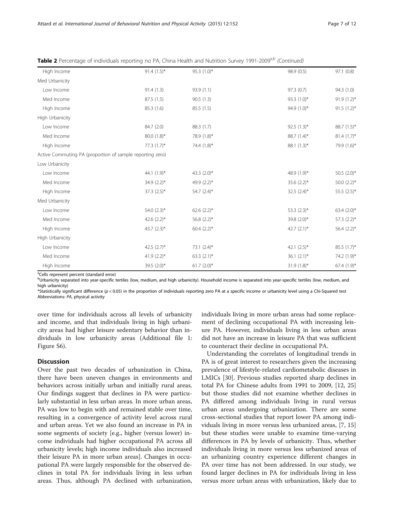| High Income                                               | 91.4 $(1.5)^*$   | 95.3 (1.0)*      | 98.9 (0.5)     | 97.1(0.8)      |
|-----------------------------------------------------------|------------------|------------------|----------------|----------------|
| Med Urbanicity                                            |                  |                  |                |                |
| Low Income                                                | 91.4(1.3)        | 93.9 (1.1)       | 97.3(0.7)      | 94.3 (1.0)     |
| Med Income                                                | 87.5 (1.5)       | 90.5(1.3)        | 93.3 $(1.0)^*$ | $91.9(1.2)$ *  |
| High Income                                               | 85.3 (1.6)       | 85.5 (1.5)       | 94.9 $(1.0)^*$ | 91.5 $(1.2)$ * |
| High Urbanicity                                           |                  |                  |                |                |
| Low Income                                                | 84.7 (2.0)       | 88.3 (1.7)       | 92.5 $(1.3)^*$ | $88.7(1.5)^*$  |
| Med Income                                                | 80.0 (1.8)*      | 78.9 (1.8)*      | 88.7 (1.4)*    | $81.4(1.7)$ *  |
| High Income                                               | 77.3 $(1.7)^*$   | 74.4 (1.8)*      | 88.1 (1.3)*    | 79.9 (1.6)*    |
| Active Commuting PA (proportion of sample reporting zero) |                  |                  |                |                |
| Low Urbanicity                                            |                  |                  |                |                |
| Low Income                                                | 44.1 $(1.9)^*$   | 43.3 $(2.0)$ *   | 48.9 (1.9)*    | 50.5 (2.0)*    |
| Med Income                                                | 34.9 $(2.2)$ *   | 49.9 (2.2)*      | 35.6 $(2.2)$ * | $50.0 (2.2)$ * |
| High Income                                               | $37.3$ $(2.5)$ * | $54.7(2.4)$ *    | 32.5 $(2.4)$ * | 55.5 (2.5)*    |
| Med Urbanicity                                            |                  |                  |                |                |
| Low Income                                                | 54.0 $(2.3)$ *   | 62.6 $(2.2)$ *   | 53.3 $(2.3)^*$ | 63.4 $(2.0)$ * |
| Med Income                                                | 42.6 $(2.2)$ *   | 56.8 (2.2)*      | 39.8 (2.0)*    | 57.3 (2.2)*    |
| High Income                                               | 43.7 $(2.3)$ *   | $60.4$ $(2.2)$ * | 42.7 $(2.1)$ * | $56.4 (2.2)^*$ |
| High Urbanicity                                           |                  |                  |                |                |
| Low Income                                                | 42.5 $(2.7)^*$   | $73.1 (2.4)^*$   | 42.1 $(2.5)^*$ | $85.5(1.7)^*$  |
| Med Income                                                | 41.9 $(2.2)$ *   | 63.3 $(2.1)$ *   | $36.1 (2.1)^*$ | 74.2 (1.9)*    |
| High Income                                               | 39.5 (2.0)*      | $61.7 (2.0)^*$   | $31.9(1.8)$ *  | 67.4 (1.9)*    |

Table 2 Percentage of individuals reporting no PA, China Health and Nutrition Survey 1991-2009<sup>a,b</sup> (Continued)

<sup>a</sup>Cells represent percent (standard error)

bUrbanicity separated into year-specific tertiles (low, medium, and high urbanicity). Household income is separated into year-specific tertiles (low, medium, and high urbanicity)

\*Statistically significant difference (p < 0.05) in the proportion of individuals reporting zero PA at a specific income or urbanicity level using a Chi-Squared test Abbreviations: PA, physical activity

over time for individuals across all levels of urbanicity and income, and that individuals living in high urbanicity areas had higher leisure sedentary behavior than individuals in low urbanicity areas (Additional file [1](#page-9-0): Figure S6).

#### **Discussion**

Over the past two decades of urbanization in China, there have been uneven changes in environments and behaviors across initially urban and initially rural areas. Our findings suggest that declines in PA were particularly substantial in less urban areas. In more urban areas, PA was low to begin with and remained stable over time, resulting in a convergence of activity level across rural and urban areas. Yet we also found an increase in PA in some segments of society [e.g., higher (versus lower) income individuals had higher occupational PA across all urbanicity levels; high income individuals also increased their leisure PA in more urban areas]. Changes in occupational PA were largely responsible for the observed declines in total PA for individuals living in less urban areas. Thus, although PA declined with urbanization, individuals living in more urban areas had some replacement of declining occupational PA with increasing leisure PA. However, individuals living in less urban areas did not have an increase in leisure PA that was sufficient to counteract their decline in occupational PA.

Understanding the correlates of longitudinal trends in PA is of great interest to researchers given the increasing prevalence of lifestyle-related cardiometabolic diseases in LMICs [\[30\]](#page-11-0). Previous studies reported sharp declines in total PA for Chinese adults from 1991 to 2009, [[12, 25](#page-10-0)] but those studies did not examine whether declines in PA differed among individuals living in rural versus urban areas undergoing urbanization. There are some cross-sectional studies that report lower PA among individuals living in more versus less urbanized areas, [[7](#page-10-0), [15](#page-10-0)] but these studies were unable to examine time-varying differences in PA by levels of urbanicity. Thus, whether individuals living in more versus less urbanized areas of an urbanizing country experience different changes in PA over time has not been addressed. In our study, we found larger declines in PA for individuals living in less versus more urban areas with urbanization, likely due to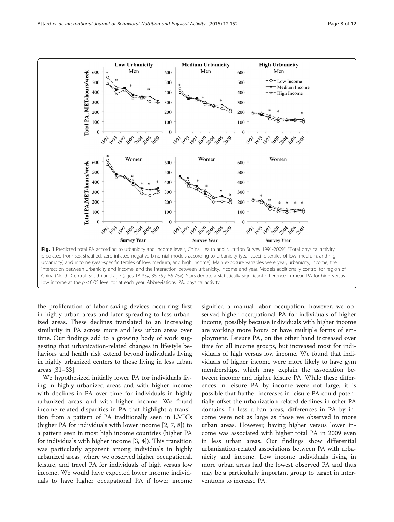<span id="page-7-0"></span>

the proliferation of labor-saving devices occurring first in highly urban areas and later spreading to less urbanized areas. These declines translated to an increasing similarity in PA across more and less urban areas over time. Our findings add to a growing body of work suggesting that urbanization-related changes in lifestyle behaviors and health risk extend beyond individuals living in highly urbanized centers to those living in less urban areas [[31](#page-11-0)–[33](#page-11-0)].

We hypothesized initially lower PA for individuals living in highly urbanized areas and with higher income with declines in PA over time for individuals in highly urbanized areas and with higher income. We found income-related disparities in PA that highlight a transition from a pattern of PA traditionally seen in LMICs (higher PA for individuals with lower income [\[2, 7, 8\]](#page-10-0)) to a pattern seen in most high income countries (higher PA for individuals with higher income [\[3, 4\]](#page-10-0)). This transition was particularly apparent among individuals in highly urbanized areas, where we observed higher occupational, leisure, and travel PA for individuals of high versus low income. We would have expected lower income individuals to have higher occupational PA if lower income

signified a manual labor occupation; however, we observed higher occupational PA for individuals of higher income, possibly because individuals with higher income are working more hours or have multiple forms of employment. Leisure PA, on the other hand increased over time for all income groups, but increased most for individuals of high versus low income. We found that individuals of higher income were more likely to have gym memberships, which may explain the association between income and higher leisure PA. While these differences in leisure PA by income were not large, it is possible that further increases in leisure PA could potentially offset the urbanization-related declines in other PA domains. In less urban areas, differences in PA by income were not as large as those we observed in more urban areas. However, having higher versus lower income was associated with higher total PA in 2009 even in less urban areas. Our findings show differential urbanization-related associations between PA with urbanicity and income. Low income individuals living in more urban areas had the lowest observed PA and thus may be a particularly important group to target in interventions to increase PA.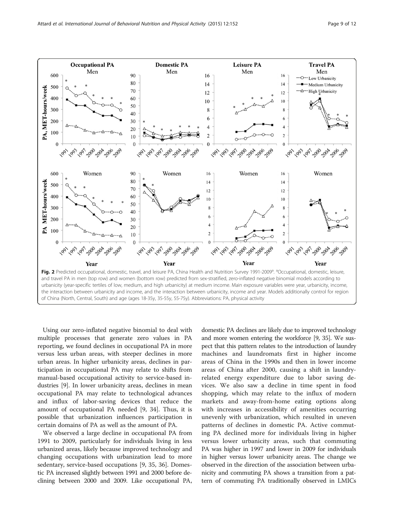<span id="page-8-0"></span>

Using our zero-inflated negative binomial to deal with multiple processes that generate zero values in PA reporting, we found declines in occupational PA in more versus less urban areas, with steeper declines in more urban areas. In higher urbanicity areas, declines in participation in occupational PA may relate to shifts from manual-based occupational activity to service-based industries [[9](#page-10-0)]. In lower urbanicity areas, declines in mean occupational PA may relate to technological advances and influx of labor-saving devices that reduce the amount of occupational PA needed [\[9,](#page-10-0) [34](#page-11-0)]. Thus, it is possible that urbanization influences participation in certain domains of PA as well as the amount of PA.

We observed a large decline in occupational PA from 1991 to 2009, particularly for individuals living in less urbanized areas, likely because improved technology and changing occupations with urbanization lead to more sedentary, service-based occupations [\[9](#page-10-0), [35](#page-11-0), [36\]](#page-11-0). Domestic PA increased slightly between 1991 and 2000 before declining between 2000 and 2009. Like occupational PA, domestic PA declines are likely due to improved technology and more women entering the workforce [\[9,](#page-10-0) [35\]](#page-11-0). We suspect that this pattern relates to the introduction of laundry machines and laundromats first in higher income areas of China in the 1990s and then in lower income areas of China after 2000, causing a shift in laundryrelated energy expenditure due to labor saving devices. We also saw a decline in time spent in food shopping, which may relate to the influx of modern markets and away-from-home eating options along with increases in accessibility of amenities occurring unevenly with urbanization, which resulted in uneven patterns of declines in domestic PA. Active commuting PA declined more for individuals living in higher versus lower urbanicity areas, such that commuting PA was higher in 1997 and lower in 2009 for individuals in higher versus lower urbanicity areas. The change we observed in the direction of the association between urbanicity and commuting PA shows a transition from a pattern of commuting PA traditionally observed in LMICs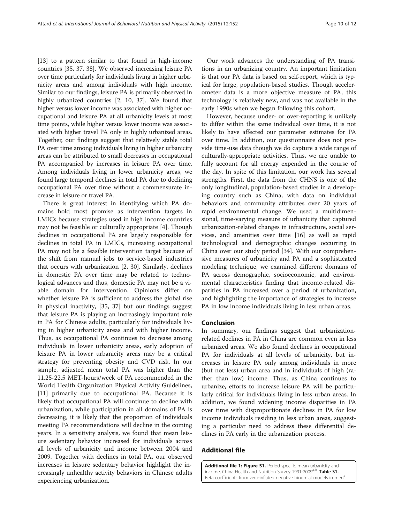<span id="page-9-0"></span>[[13](#page-10-0)] to a pattern similar to that found in high-income countries [\[35, 37, 38](#page-11-0)]. We observed increasing leisure PA over time particularly for individuals living in higher urbanicity areas and among individuals with high income. Similar to our findings, leisure PA is primarily observed in highly urbanized countries [[2, 10,](#page-10-0) [37\]](#page-11-0). We found that higher versus lower income was associated with higher occupational and leisure PA at all urbanicity levels at most time points, while higher versus lower income was associated with higher travel PA only in highly urbanized areas. Together, our findings suggest that relatively stable total PA over time among individuals living in higher urbanicity areas can be attributed to small decreases in occupational PA accompanied by increases in leisure PA over time. Among individuals living in lower urbanicity areas, we found large temporal declines in total PA due to declining occupational PA over time without a commensurate increase in leisure or travel PA.

There is great interest in identifying which PA domains hold most promise as intervention targets in LMICs because strategies used in high income countries may not be feasible or culturally appropriate [\[4](#page-10-0)]. Though declines in occupational PA are largely responsible for declines in total PA in LMICs, increasing occupational PA may not be a feasible intervention target because of the shift from manual jobs to service-based industries that occurs with urbanization [[2,](#page-10-0) [30](#page-11-0)]. Similarly, declines in domestic PA over time may be related to technological advances and thus, domestic PA may not be a viable domain for intervention. Opinions differ on whether leisure PA is sufficient to address the global rise in physical inactivity, [\[35, 37](#page-11-0)] but our findings suggest that leisure PA is playing an increasingly important role in PA for Chinese adults, particularly for individuals living in higher urbanicity areas and with higher income. Thus, as occupational PA continues to decrease among individuals in lower urbanicity areas, early adoption of leisure PA in lower urbanicity areas may be a critical strategy for preventing obesity and CVD risk. In our sample, adjusted mean total PA was higher than the 11.25-22.5 MET-hours/week of PA recommended in the World Health Organization Physical Activity Guidelines, [[11\]](#page-10-0) primarily due to occupational PA. Because it is likely that occupational PA will continue to decline with urbanization, while participation in all domains of PA is decreasing, it is likely that the proportion of individuals meeting PA recommendations will decline in the coming years. In a sensitivity analysis, we found that mean leisure sedentary behavior increased for individuals across all levels of urbanicity and income between 2004 and 2009. Together with declines in total PA, our observed increases in leisure sedentary behavior highlight the increasingly unhealthy activity behaviors in Chinese adults experiencing urbanization.

Our work advances the understanding of PA transitions in an urbanizing country. An important limitation is that our PA data is based on self-report, which is typical for large, population-based studies. Though accelerometer data is a more objective measure of PA, this technology is relatively new, and was not available in the early 1990s when we began following this cohort.

However, because under- or over-reporting is unlikely to differ within the same individual over time, it is not likely to have affected our parameter estimates for PA over time. In addition, our questionnaire does not provide time-use data though we do capture a wide range of culturally-appropriate activities. Thus, we are unable to fully account for all energy expended in the course of the day. In spite of this limitation, our work has several strengths. First, the data from the CHNS is one of the only longitudinal, population-based studies in a developing country such as China, with data on individual behaviors and community attributes over 20 years of rapid environmental change. We used a multidimensional, time-varying measure of urbanicity that captured urbanization-related changes in infrastructure, social services, and amenities over time [[16](#page-10-0)] as well as rapid technological and demographic changes occurring in China over our study period [[34\]](#page-11-0). With our comprehensive measures of urbanicity and PA and a sophisticated modeling technique, we examined different domains of PA across demographic, socioeconomic, and environmental characteristics finding that income-related disparities in PA increased over a period of urbanization, and highlighting the importance of strategies to increase PA in low income individuals living in less urban areas.

# Conclusion

In summary, our findings suggest that urbanizationrelated declines in PA in China are common even in less urbanized areas. We also found declines in occupational PA for individuals at all levels of urbanicity, but increases in leisure PA only among individuals in more (but not less) urban area and in individuals of high (rather than low) income. Thus, as China continues to urbanize, efforts to increase leisure PA will be particularly critical for individuals living in less urban areas. In addition, we found widening income disparities in PA over time with disproportionate declines in PA for low income individuals residing in less urban areas, suggesting a particular need to address these differential declines in PA early in the urbanization process.

# Additional file

[Additional file 1: Figure S1.](dx.doi.org/10.1186/s12966-015-0321-2) Period-specific mean urbanicity and income, China Health and Nutrition Survey 1991-2009<sup>a,b</sup>. Table S1. Beta coefficients from zero-inflated negative binomial models in men<sup>a</sup>.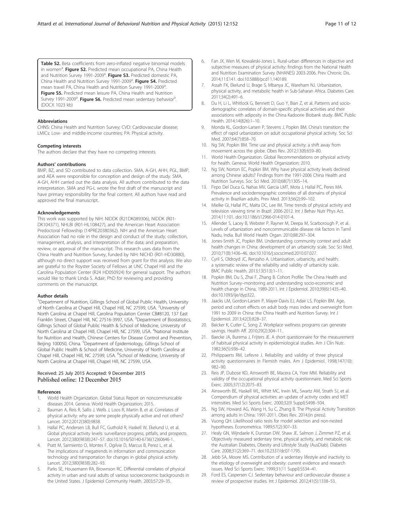<span id="page-10-0"></span>Table S2. Beta coefficients from zero-inflated negative binomial models in women<sup>a</sup>. Figure S2. Predicted mean occupational PA, China Health and Nutrition Survey 1991-2009<sup>a</sup>. Figure S3. Predicted domestic PA, China Health and Nutrition Survey 1991-2009<sup>a</sup>. Figure S4. Predicted mean travel PA, China Health and Nutrition Survey 1991-2009<sup>a</sup>. . Figure S5. Predicted mean leisure PA, China Health and Nutrition Survey 1991-2009<sup>a</sup>. Figure S6. Predicted mean sedentary behavior<sup>a</sup> . (DOCX 1023 kb)

#### Abbreviations

CHNS: China Health and Nutrition Survey; CVD: Cardiovascular disease; LMICs: Low- and middle-income countries; PA: Physical activity.

#### Competing interests

The authors declare that they have no competing interests.

#### Authors' contributions

BMP, BZ, and SD contributed to data collection. SMA, A-GH, AHH, PGL, BMP, and AEA were responsible for conception and design of the study. SMA, A-GH, AHH carried out the data analysis. All authors contributed to the data interpretation. SMA and PG-L wrote the first draft of the manuscript and have primary responsibility for the final content. All authors have read and approved the final manuscript.

#### Acknowledgements

This work was supported by NIH: NIDDK (R21DK089306), NIDDK (R01- DK104371), NHLBI (R01-HL108427), and the American Heart Association Predoctoral Fellowship (14PRE20380362). NIH and the American Heart Association had no role in the design and conduct of the study; collection, management, analysis, and interpretation of the data; and preparation, review, or approval of the manuscript. This research uses data from the China Health and Nutrition Survey, funded by NIH: NICHD (R01-HD30880), although no direct support was received from grant for this analysis. We also are grateful to the Royster Society of Fellows at UNC Chapel Hill and the Carolina Population Center (R24 HD050924) for general support. The authors would like to thank Linda S. Adair, PhD for reviewing and providing comments on the manuscript.

#### Author details

<sup>1</sup>Department of Nutrition, Gillings School of Global Public Health, University of North Carolina at Chapel Hill, Chapel Hill, NC 27599, USA. <sup>2</sup>University of North Carolina at Chapel Hill, Carolina Population Center CB#8120, 137 East Franklin Street, Chapel Hill, NC 27516-3997, USA. <sup>3</sup>Department of Biostatistics, Gillings School of Global Public Health & School of Medicine, University of North Carolina at Chapel Hill, Chapel Hill, NC 27599, USA. <sup>4</sup>National Institute for Nutrition and Health, Chinese Centers for Disease Control and Prevention, Beijing 100050, China. <sup>5</sup>Department of Epidemiology, Gillings School of Global Public Health & School of Medicine, University of North Carolina at Chapel Hill, Chapel Hill, NC 27599, USA. <sup>6</sup>School of Medicine, University of North Carolina at Chapel Hill, Chapel Hill, NC 27599, USA.

#### Received: 25 July 2015 Accepted: 9 December 2015 Published online: 12 December 2015

#### References

- 1. World Health Organization. Global Status Report on noncommunicable diseases 2014. Geneva: World Health Organization; 2015.
- 2. Bauman A, Reis R, Sallis J, Wells J, Loos R, Martin B, et al. Correlates of physical activity: why are some people physically active and not others? Lancet. 2012;2012(380):9838.
- Hallal PC, Andersen LB, Bull FC, Guthold R, Haskell W, Ekelund U, et al. Global physical activity levels: surveillance progress, pitfalls, and prospects. Lancet. 2012;380(9838):247–57. doi:[10.1016/S0140-6736\(12\)60646-1.](http://dx.doi.org/10.1016/S0140-6736(12)60646-1)
- 4. Pratt M, Sarmiento O, Montes F, Ogilvie D, Marcus B, Perez L, et al. The implications of megatrends in information and communication technology and transportation for changes in global physical activity. Lancet. 2012;380(9838):282–93.
- 5. Parks SE, Housemann RA, Brownson RC. Differential correlates of physical activity in urban and rural adults of various socioeconomic backgrounds in the United States. J Epidemiol Community Health. 2003;57:29–35.
- 6. Fan JX, Wen M, Kowaleski-Jones L. Rural-urban differences in objective and subjective measures of physical activity: findings from the National Health and Nutrition Examination Survey (NHANES) 2003-2006. Prev Chronic Dis. 2014;11:E141. doi:[10.5888/pcd11.140189](http://dx.doi.org/10.5888/pcd11.140189).
- 7. Assah FK, Ekelund U, Brage S, Mbanya JC, Wareham NJ. Urbanization, physical activity, and metabolic health in Sub-Saharan Africa. Diabetes Care. 2011;34(2):491–6.
- 8. Du H, Li L, Whitlock G, Bennett D, Guo Y, Bian Z, et al. Patterns and sociodemographic correlates of domain-specific physical activities and their associations with adiposity in the China Kadoorie Biobank study. BMC Public Health. 2014;14(826):1–10.
- 9. Monda KL, Gordon-Larsen P, Stevens J, Popkin BM. China's transition: the effect of rapid urbanization on adult occupational physical activity. Soc Sci Med. 2007;64(7):858–70.
- 10. Ng SW, Popkin BM. Time use and physical activity: a shift away from movement across the globe. Obes Rev. 2012;13(8):659–80.
- 11. World Health Organization. Global Recommendations on physical activity for health. Geneva: World Health Organization; 2010.
- 12. Ng SW, Norton EC, Popkin BM. Why have physical activity levels declined among Chinese adults? Findings from the 1991-2006 China Health and Nutrition Surveys. Soc Sci Med. 2010;68(7):1305–14.
- 13. Firpo Del Duca G, Nahas MV, Garcia LMT, Mota J, Hallal PC, Peres MA. Prevalence and sociodemographic correlates of all domains of physical activity in Brazilian adults. Prev Med. 2013;56(2):99–102.
- 14. Mielke GI, Hallal PC, Malta DC, Lee IM. Time trends of physical activity and television viewing time in Brazil: 2006-2012. Int J Behav Nutr Phys Act. 2014;11:101. doi[:10.1186/s12966-014-0101-4.](http://dx.doi.org/10.1186/s12966-014-0101-4)
- 15. Allender S, Lacey B, Webster P, Rayner M, Deepa M, Scarborough P, et al. Levels of urbanization and noncommunicable disease risk factors in Tamil Nadu, India. Bull World Health Organ. 2010;88:297–304.
- 16. Jones-Smith JC, Popkin BM. Understanding community context and adult health changes in China: development of an urbanicity scale. Soc Sci Med. 2010;71(8):1436–46. doi[:10.1016/j.socscimed.2010.07.027](http://dx.doi.org/10.1016/j.socscimed.2010.07.027).
- 17. Cyril S, Oldroyd JC, Renzaho A. Urbanisation, urbanicity, and health: a systematic review of the reliability and validity of urbanicity scale. BMC Public Health. 2013;13(513):1–11.
- 18. Popkin BM, Du S, Zhai F, Zhang B. Cohort Profile: The China Health and Nutrition Survey–monitoring and understanding socio-economic and health change in China, 1989-2011. Int J Epidemiol. 2010;39(6):1435–40. doi[:10.1093/ije/dyp322.](http://dx.doi.org/10.1093/ije/dyp322)
- 19. Jaacks LM, Gordon-Larsen P, Mayer-Davis EJ, Adair LS, Popkin BM. Age, period and cohort effects on adult body mass index and overweight from 1991 to 2009 in China: the China Health and Nutrition Survey. Int J Epidemiol. 2013;42(3):828–37.
- 20. Baicker K, Cutler C, Song Z. Workplace wellness programs can generate savings. Health Aff. 2010;29(2):304–11.
- 21. Baecke JA, Burema J, Frijters JE. A short questionnaire for the measurement of habitual physical activity in epidemiological studies. Am J Clin Nutr. 1982;36(5):936–42.
- 22. Philippaerts RM, Lefevre J. Reliability and validity of three physical activity questionnaires in Flemish males. Am J Epidemiol. 1998;147(10): 982–90.
- 23. Reis JP, Dubose KD, Ainsworth BE, Macera CA, Yore MM. Reliability and validity of the occupational physical activity questionnaire. Med Sci Sports Exerc. 2005;37(12):2075–83.
- 24. Ainsworth BE, Haskell WL, Whitt MC, Irwin ML, Swartz AM, Strath SJ, et al. Compendium of physical activities: an update of activity codes and MET intensities. Med Sci Sports Exerc. 2000;32(9 Suppl):S498–504.
- 25. Ng SW, Howard AG, Wang H, Su C, Zhang B. The Physical Activity Transition among adults in China: 1991-2011. Obes Rev. 2014;(in press).
- 26. Vuong QH. Likelihood ratio tests for model selection and non-nested hypotheses. Econometrica. 1989;57(2):307–33.
- 27. Healy GN, Wijndaele K, Dunstan DW, Shaw JE, Salmon J, Zimmet PZ, et al. Objectively measured sedentary time, physical activity, and metabolic risk: the Australian Diabetes, Obesity and Lifestyle Study (AusDiab). Diabetes Care. 2008;31(2):369–71. doi:[10.2337/dc07-1795.](http://dx.doi.org/10.2337/dc07-1795)
- 28. Jebb SA, Moore MS. Contribution of a sedentary lifestyle and inactivity to the etiology of overweight and obesity: current evidence and research issues. Med Sci Sports Exerc. 1999;31(11 Suppl):S534–41.
- 29. Ford ES, Caspersen CJ. Sedentary behaviour and cardiovascular disease: a review of prospective studies. Int J Epidemiol. 2012;41(5):1338–53.